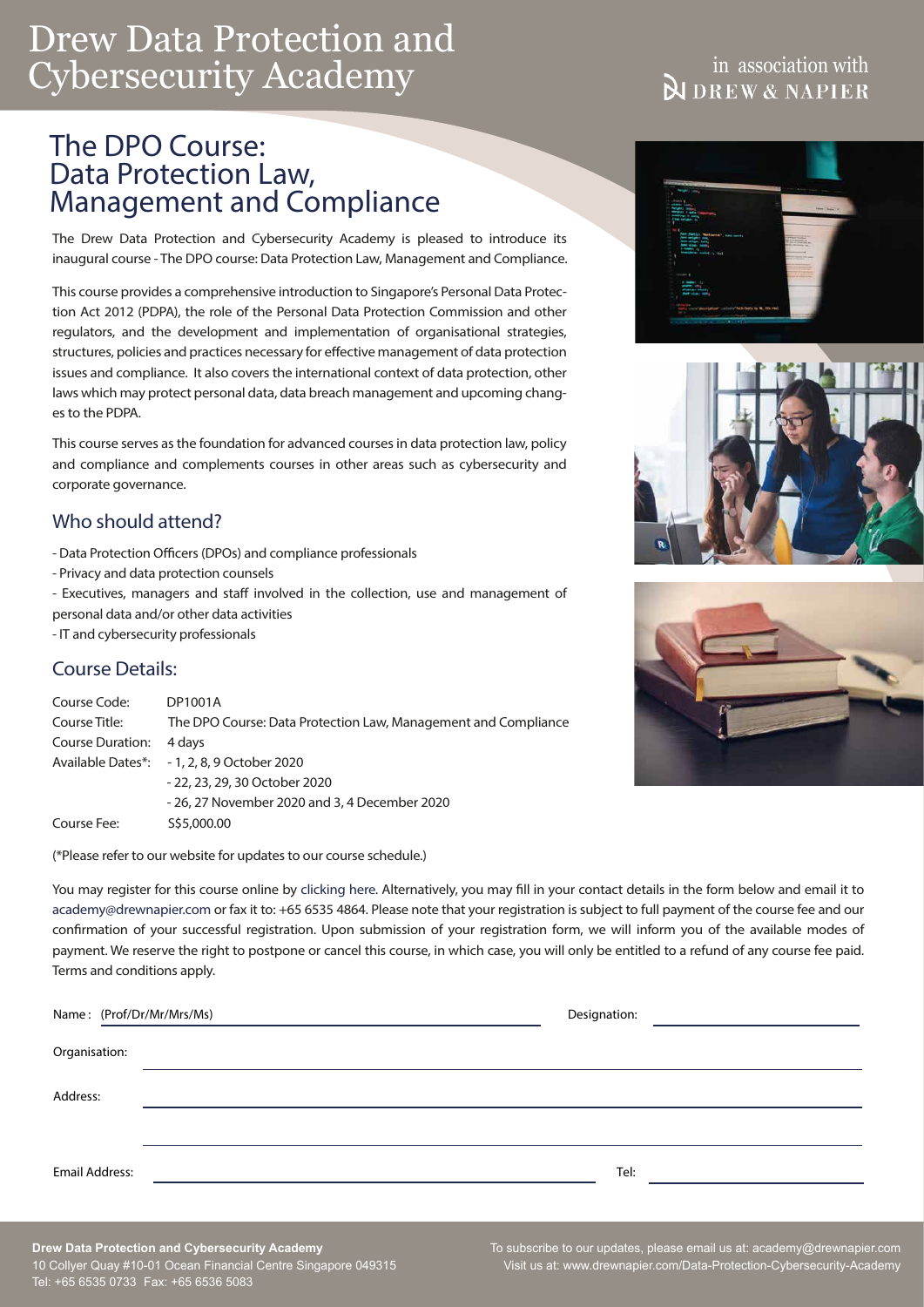# Drew Data Protection and Cybersecurity Academy

## The DPO Course: Data Protection Law, Management and Compliance

The Drew Data Protection and Cybersecurity Academy is pleased to introduce its inaugural course - The DPO course: Data Protection Law, Management and Compliance.

This course provides a comprehensive introduction to Singapore's Personal Data Protection Act 2012 (PDPA), the role of the Personal Data Protection Commission and other regulators, and the development and implementation of organisational strategies, structures, policies and practices necessary for effective management of data protection issues and compliance. It also covers the international context of data protection, other laws which may protect personal data, data breach management and upcoming changes to the PDPA.

This course serves as the foundation for advanced courses in data protection law, policy and compliance and complements courses in other areas such as cybersecurity and corporate governance.

### Who should attend?

- Data Protection Officers (DPOs) and compliance professionals
- Privacy and data protection counsels
- Executives, managers and staff involved in the collection, use and management of personal data and/or other data activities
- IT and cybersecurity professionals

### Course Details:

| Course Code:     | DP1001A                                                        |  |
|------------------|----------------------------------------------------------------|--|
| Course Title:    | The DPO Course: Data Protection Law, Management and Compliance |  |
| Course Duration: | 4 davs                                                         |  |
|                  | Available Dates*: - 1, 2, 8, 9 October 2020                    |  |
|                  | - 22, 23, 29, 30 October 2020                                  |  |
|                  | - 26, 27 November 2020 and 3, 4 December 2020                  |  |
| Course Fee:      | S\$5,000.00                                                    |  |

(\*Please refer to our website for updates to our course schedule.)

You may register for this course online by [clicking here.](https://www.drewnapier.com/Data-Protection-Cybersecurity-Academy/Course-Schedule) Alternatively, you may fill in your contact details in the form below and email it to academy@drewnapier.com or fax it to: +65 6535 4864. Please note that your registration is subject to full payment of the course fee and our confirmation of your successful registration. Upon submission of your registration form, we will inform you of the available modes of payment. We reserve the right to postpone or cancel this course, in which case, you will only be entitled to a refund of any course fee paid. Terms and conditions apply.

|                | Name: (Prof/Dr/Mr/Mrs/Ms) | Designation: |  |
|----------------|---------------------------|--------------|--|
| Organisation:  |                           |              |  |
| Address:       |                           |              |  |
|                |                           |              |  |
| Email Address: |                           | Tel:         |  |

#### **Drew Data Protection and Cybersecurity Academy** 10 Collyer Quay #10-01 Ocean Financial Centre Singapore 049315 Tel: +65 6535 0733 Fax: +65 6536 5083

# in association with<br>DREW & NAPIER